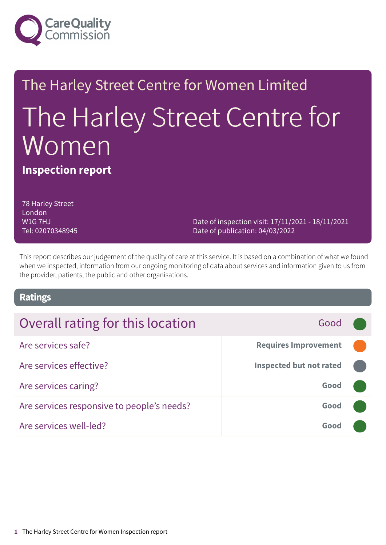

# The Harley Street Centre for Women Limited The Harley Street Centre for Women

**Inspection report**

78 Harley Street London W1G 7HJ Tel: 02070348945

Date of inspection visit: 17/11/2021 - 18/11/2021 Date of publication: 04/03/2022

This report describes our judgement of the quality of care at this service. It is based on a combination of what we found when we inspected, information from our ongoing monitoring of data about services and information given to us from the provider, patients, the public and other organisations.

### **Ratings**

### Overall rating for this location **Fig. 10.13 Cood Good** Are services safe? **Requires Improvement –––** Are services effective? **Inspected but not rated –––**

| ALE SEIVILES ELIECLIVE:                    | $\frac{1}{2}$             |  |
|--------------------------------------------|---------------------------|--|
| Are services caring?                       | Good <b>Communication</b> |  |
| Are services responsive to people's needs? | Good                      |  |
| Are services well-led?                     | Good (                    |  |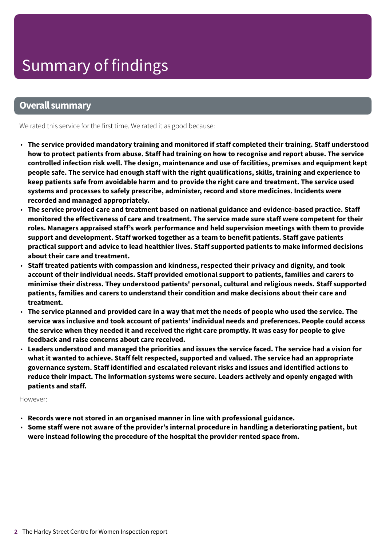### **Overall summary**

We rated this service for the first time. We rated it as good because:

- **The service provided mandatory training and monitored if staff completed their training. Staff understood** how to protect patients from abuse. Staff had training on how to recognise and report abuse. The service **controlled infection risk well. The design, maintenance and use of facilities, premises and equipment kept people safe. The service had enough staff with the right qualifications, skills, training and experience to keep patients safe from avoidable harm and to provide the right care and treatment. The service used systems and processes to safely prescribe, administer, record and store medicines. Incidents were recorded and managed appropriately.**
- **The service provided care and treatment based on national guidance and evidence-based practice. Staff monitored the effectiveness of care and treatment. The service made sure staff were competent for their roles. Managers appraised staff's work performance and held supervision meetings with them to provide support and development. Staff worked together as a team to benefit patients. Staff gave patients practical support and advice to lead healthier lives. Staff supported patients to make informed decisions about their care and treatment.**
- **Staff treated patients with compassion and kindness, respected their privacy and dignity, and took account of their individual needs. Staff provided emotional support to patients, families and carers to minimise their distress. They understood patients' personal, cultural and religious needs. Staff supported patients, families and carers to understand their condition and make decisions about their care and treatment.**
- $\cdot$  The service planned and provided care in a way that met the needs of people who used the service. The **service was inclusive and took account of patients' individual needs and preferences. People could access** the service when they needed it and received the right care promptly. It was easy for people to give **feedback and raise concerns about care received.**
- Leaders understood and managed the priorities and issues the service faced. The service had a vision for **what it wanted to achieve. Staff felt respected, supported and valued. The service had an appropriate governance system. Staff identified and escalated relevant risks and issues and identified actions to reduce their impact. The information systems were secure. Leaders actively and openly engaged with patients and staff.**

#### However:

- **Records were not stored in an organised manner in line with professional guidance.**
- **Some staff were not aware of the provider's internal procedure in handling a deteriorating patient, but were instead following the procedure of the hospital the provider rented space from.**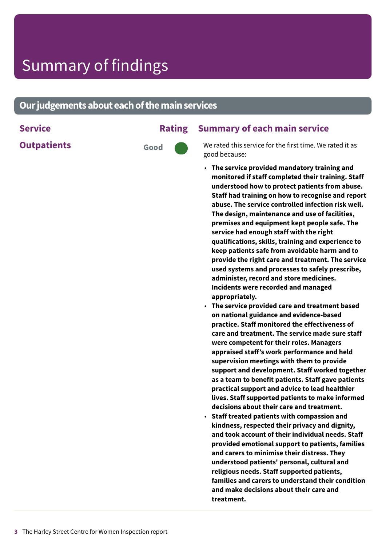### **Our judgements about each of the main services**

**Outpatients Good** 

### **Service Rating Summary of each main service**

We rated this service for the first time. We rated it as good because:

- **The service provided mandatory training and monitored if staff completed their training. Staff understood how to protect patients from abuse. Staff had training on how to recognise and report abuse. The service controlled infection risk well. The design, maintenance and use of facilities, premises and equipment kept people safe. The service had enough staff with the right qualifications, skills, training and experience to keep patients safe from avoidable harm and to provide the right care and treatment. The service used systems and processes to safely prescribe, administer, record and store medicines. Incidents were recorded and managed appropriately.**
- **The service provided care and treatment based on national guidance and evidence-based practice. Staff monitored the effectiveness of care and treatment. The service made sure staff were competent for their roles. Managers appraised staff's work performance and held supervision meetings with them to provide support and development. Staff worked together as a team to benefit patients. Staff gave patients practical support and advice to lead healthier lives. Staff supported patients to make informed decisions about their care and treatment.**
- **Staff treated patients with compassion and kindness, respected their privacy and dignity, and took account of their individual needs. Staff provided emotional support to patients, families and carers to minimise their distress. They understood patients' personal, cultural and religious needs. Staff supported patients, families and carers to understand their condition and make decisions about their care and treatment.**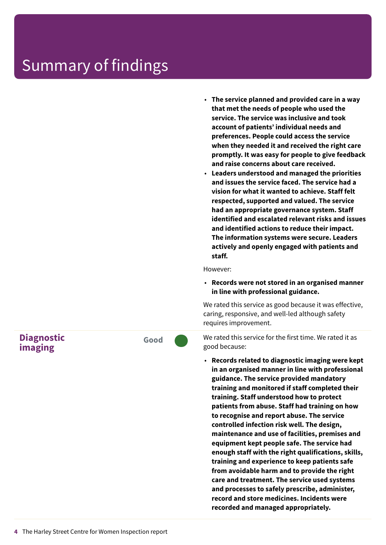- **The service planned and provided care in a way that met the needs of people who used the service. The service was inclusive and took account of patients' individual needs and preferences. People could access the service when they needed it and received the right care promptly. It was easy for people to give feedback and raise concerns about care received.**
- **Leaders understood and managed the priorities and issues the service faced. The service had a vision for what it wanted to achieve. Staff felt respected, supported and valued. The service had an appropriate governance system. Staff identified and escalated relevant risks and issues and identified actions to reduce their impact. The information systems were secure. Leaders actively and openly engaged with patients and staff.**

However:

• **Records were not stored in an organised manner in line with professional guidance.**

We rated this service as good because it was effective, caring, responsive, and well-led although safety requires improvement.

We rated this service for the first time. We rated it as good because:

• **Records related to diagnostic imaging were kept in an organised manner in line with professional guidance. The service provided mandatory training and monitored if staff completed their training. Staff understood how to protect patients from abuse. Staff had training on how to recognise and report abuse. The service controlled infection risk well. The design, maintenance and use of facilities, premises and equipment kept people safe. The service had enough staff with the right qualifications, skills, training and experience to keep patients safe from avoidable harm and to provide the right care and treatment. The service used systems and processes to safely prescribe, administer, record and store medicines. Incidents were recorded and managed appropriately.**

**Diagnostic imaging**

**Good –––**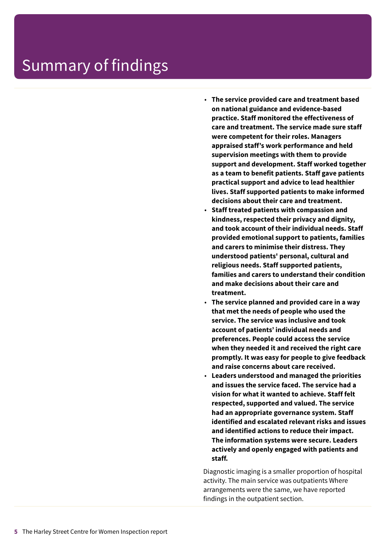- **The service provided care and treatment based on national guidance and evidence-based practice. Staff monitored the effectiveness of care and treatment. The service made sure staff were competent for their roles. Managers appraised staff's work performance and held supervision meetings with them to provide support and development. Staff worked together as a team to benefit patients. Staff gave patients practical support and advice to lead healthier lives. Staff supported patients to make informed decisions about their care and treatment.**
- **Staff treated patients with compassion and kindness, respected their privacy and dignity, and took account of their individual needs. Staff provided emotional support to patients, families and carers to minimise their distress. They understood patients' personal, cultural and religious needs. Staff supported patients, families and carers to understand their condition and make decisions about their care and treatment.**
- **The service planned and provided care in a way that met the needs of people who used the service. The service was inclusive and took account of patients' individual needs and preferences. People could access the service when they needed it and received the right care promptly. It was easy for people to give feedback and raise concerns about care received.**
- **Leaders understood and managed the priorities and issues the service faced. The service had a vision for what it wanted to achieve. Staff felt respected, supported and valued. The service had an appropriate governance system. Staff identified and escalated relevant risks and issues and identified actions to reduce their impact. The information systems were secure. Leaders actively and openly engaged with patients and staff.**

Diagnostic imaging is a smaller proportion of hospital activity. The main service was outpatients Where arrangements were the same, we have reported findings in the outpatient section.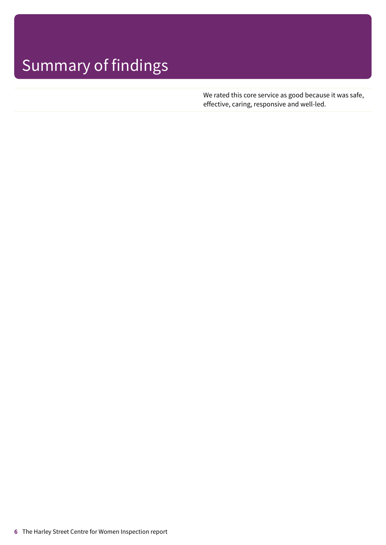We rated this core service as good because it was safe, effective, caring, responsive and well-led.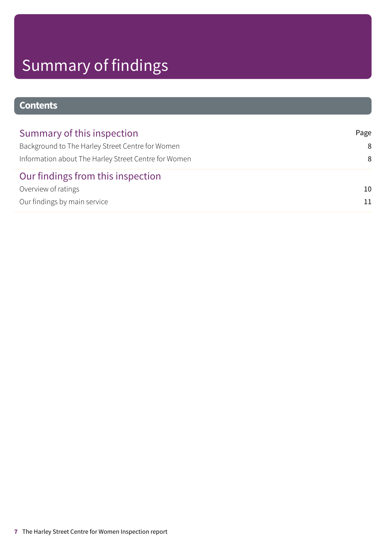### **Contents**

| Summary of this inspection                           | Page |
|------------------------------------------------------|------|
| Background to The Harley Street Centre for Women     | 8    |
| Information about The Harley Street Centre for Women | 8    |
| Our findings from this inspection                    |      |
| Overview of ratings                                  | 10   |
| Our findings by main service                         |      |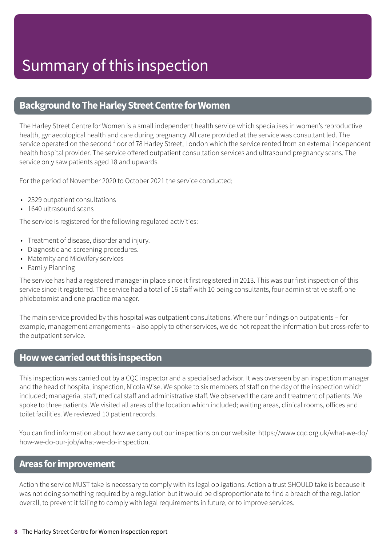### <span id="page-7-0"></span>**Background to The Harley Street Centre for Women**

The Harley Street Centre for Women is a small independent health service which specialises in women's reproductive health, gynaecological health and care during pregnancy. All care provided at the service was consultant led. The service operated on the second floor of 78 Harley Street, London which the service rented from an external independent health hospital provider. The service offered outpatient consultation services and ultrasound pregnancy scans. The service only saw patients aged 18 and upwards.

For the period of November 2020 to October 2021 the service conducted;

- 2329 outpatient consultations
- 1640 ultrasound scans

The service is registered for the following regulated activities:

- Treatment of disease, disorder and injury.
- Diagnostic and screening procedures.
- Maternity and Midwifery services
- Family Planning

The service has had a registered manager in place since it first registered in 2013. This was our first inspection of this service since it registered. The service had a total of 16 staff with 10 being consultants, four administrative staff, one phlebotomist and one practice manager.

The main service provided by this hospital was outpatient consultations. Where our findings on outpatients – for example, management arrangements – also apply to other services, we do not repeat the information but cross-refer to the outpatient service.

### <span id="page-7-1"></span>**Howwecarriedoutthis inspection**

This inspection was carried out by a CQC inspector and a specialised advisor. It was overseen by an inspection manager and the head of hospital inspection, Nicola Wise. We spoke to six members of staff on the day of the inspection which included; managerial staff, medical staff and administrative staff. We observed the care and treatment of patients. We spoke to three patients. We visited all areas of the location which included; waiting areas, clinical rooms, offices and toilet facilities. We reviewed 10 patient records.

You can find information about how we carry out our inspections on our website: https://www.cqc.org.uk/what-we-do/ how-we-do-our-job/what-we-do-inspection.

### **Areas forimprovement**

Action the service MUST take is necessary to comply with its legal obligations. Action a trust SHOULD take is because it was not doing something required by a regulation but it would be disproportionate to find a breach of the regulation overall, to prevent it failing to comply with legal requirements in future, or to improve services.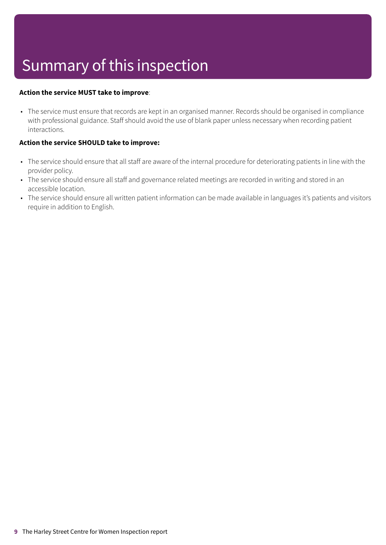# Summary of this inspection

#### **Action the service MUST take to improve**:

• The service must ensure that records are kept in an organised manner. Records should be organised in compliance with professional guidance. Staff should avoid the use of blank paper unless necessary when recording patient interactions.

#### **Action the service SHOULD take to improve:**

- The service should ensure that all staff are aware of the internal procedure for deteriorating patients in line with the provider policy.
- The service should ensure all staff and governance related meetings are recorded in writing and stored in an accessible location.
- The service should ensure all written patient information can be made available in languages it's patients and visitors require in addition to English.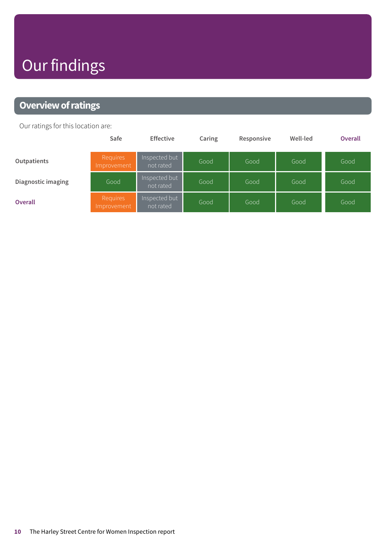# Our findings

### <span id="page-9-0"></span>**Overview of ratings**

Our ratings for this location are:

|                    | Safe                           | <b>Effective</b>           | Caring | Responsive | Well-led | <b>Overall</b> |
|--------------------|--------------------------------|----------------------------|--------|------------|----------|----------------|
| Outpatients        | <b>Requires</b><br>Improvement | Inspected but<br>not rated | Good   | Good       | Good     | Good           |
| Diagnostic imaging | Good                           | Inspected but<br>not rated | Good   | Good       | Good     | Good           |
| <b>Overall</b>     | Requires<br>Improvement        | Inspected but<br>not rated | Good   | Good       | Good     | Good           |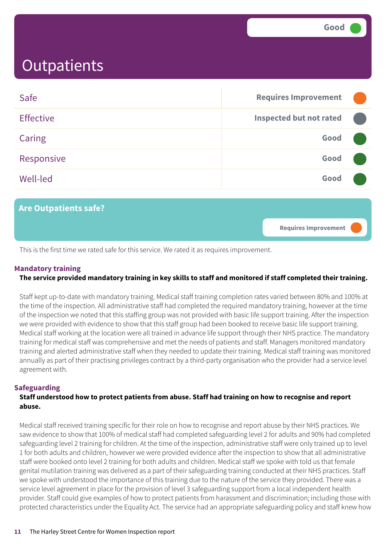<span id="page-10-0"></span>

| Safe             | <b>Requires Improvement</b>    |  |
|------------------|--------------------------------|--|
| <b>Effective</b> | <b>Inspected but not rated</b> |  |
| Caring           | Good                           |  |
| Responsive       | Good                           |  |
| <b>Well-led</b>  | Good                           |  |
|                  |                                |  |



This is the first time we rated safe for this service. We rated it as requires improvement.

#### **Mandatory training**

### The service provided mandatory training in key skills to staff and monitored if staff completed their training.

Staff kept up-to-date with mandatory training. Medical staff training completion rates varied between 80% and 100% at the time of the inspection. All administrative staff had completed the required mandatory training, however at the time of the inspection we noted that this staffing group was not provided with basic life support training. After the inspection we were provided with evidence to show that this staff group had been booked to receive basic life support training. Medical staff working at the location were all trained in advance life support through their NHS practice. The mandatory training for medical staff was comprehensive and met the needs of patients and staff. Managers monitored mandatory training and alerted administrative staff when they needed to update their training. Medical staff training was monitored annually as part of their practising privileges contract by a third-party organisation who the provider had a service level agreement with.

#### **Safeguarding**

#### **Staff understood how to protect patients from abuse. Staff had training on how to recognise and report abuse.**

Medical staff received training specific for their role on how to recognise and report abuse by their NHS practices. We saw evidence to show that 100% of medical staff had completed safeguarding level 2 for adults and 90% had completed safeguarding level 2 training for children. At the time of the inspection, administrative staff were only trained up to level 1 for both adults and children, however we were provided evidence after the inspection to show that all administrative staff were booked onto level 2 training for both adults and children. Medical staff we spoke with told us that female genital mutilation training was delivered as a part of their safeguarding training conducted at their NHS practices. Staff we spoke with understood the importance of this training due to the nature of the service they provided. There was a service level agreement in place for the provision of level 3 safeguarding support from a local independent health provider. Staff could give examples of how to protect patients from harassment and discrimination; including those with protected characteristics under the Equality Act. The service had an appropriate safeguarding policy and staff knew how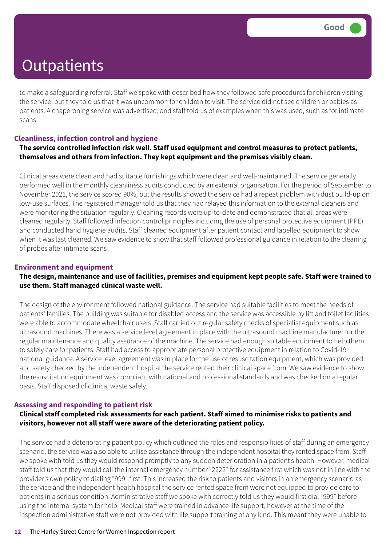to make a safeguarding referral. Staff we spoke with described how they followed safe procedures for children visiting the service, but they told us that it was uncommon for children to visit. The service did not see children or babies as patients. A chaperoning service was advertised, and staff told us of examples when this was used, such as for intimate scans.

#### **Cleanliness, infection control and hygiene**

#### **The service controlled infection risk well. Staff used equipment and control measures to protect patients, themselves and others from infection. They kept equipment and the premises visibly clean.**

Clinical areas were clean and had suitable furnishings which were clean and well-maintained. The service generally performed well in the monthly cleanliness audits conducted by an external organisation. For the period of September to November 2021, the service scored 90%, but the results showed the service had a repeat problem with dust build-up on low-use surfaces. The registered manager told us that they had relayed this information to the external cleaners and were monitoring the situation regularly. Cleaning records were up-to-date and demonstrated that all areas were cleaned regularly. Staff followed infection control principles including the use of personal protective equipment (PPE) and conducted hand hygiene audits. Staff cleaned equipment after patient contact and labelled equipment to show when it was last cleaned. We saw evidence to show that staff followed professional guidance in relation to the cleaning of probes after intimate scans

#### **Environment and equipment**

#### The design, maintenance and use of facilities, premises and equipment kept people safe. Staff were trained to **use them. Staff managed clinical waste well.**

The design of the environment followed national guidance. The service had suitable facilities to meet the needs of patients' families. The building was suitable for disabled access and the service was accessible by lift and toilet facilities were able to accommodate wheelchair users. Staff carried out regular safety checks of specialist equipment such as ultrasound machines. There was a service level agreement in place with the ultrasound machine manufacturer for the regular maintenance and quality assurance of the machine. The service had enough suitable equipment to help them to safely care for patients. Staff had access to appropriate personal protective equipment in relation to Covid-19 national guidance. A service level agreement was in place for the use of resuscitation equipment, which was provided and safety checked by the independent hospital the service rented their clinical space from. We saw evidence to show the resuscitation equipment was compliant with national and professional standards and was checked on a regular basis. Staff disposed of clinical waste safely.

#### **Assessing and responding to patient risk**

#### **Clinical staff completed risk assessments for each patient. Staff aimed to minimise risks to patients and visitors, however not all staff were aware of the deteriorating patient policy.**

The service had a deteriorating patient policy which outlined the roles and responsibilities of staff during an emergency scenario, the service was also able to utilise assistance through the independent hospital they rented space from. Staff we spoke with told us they would respond promptly to any sudden deterioration in a patient's health. However, medical staff told us that they would call the internal emergency number "2222" for assistance first which was not in line with the provider's own policy of dialing "999" first. This increased the risk to patients and visitors in an emergency scenario as the service and the independent health hospital the service rented space from were not equipped to provide care to patients in a serious condition. Administrative staff we spoke with correctly told us they would first dial "999" before using the internal system for help. Medical staff were trained in advance life support, however at the time of the inspection administrative staff were not provided with life support training of any kind. This meant they were unable to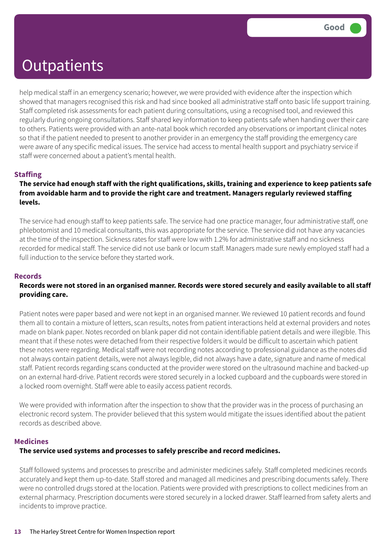help medical staff in an emergency scenario; however, we were provided with evidence after the inspection which showed that managers recognised this risk and had since booked all administrative staff onto basic life support training. Staff completed risk assessments for each patient during consultations, using a recognised tool, and reviewed this regularly during ongoing consultations. Staff shared key information to keep patients safe when handing over their care to others. Patients were provided with an ante-natal book which recorded any observations or important clinical notes so that if the patient needed to present to another provider in an emergency the staff providing the emergency care were aware of any specific medical issues. The service had access to mental health support and psychiatry service if staff were concerned about a patient's mental health.

#### **Staffing**

#### The service had enough staff with the right qualifications, skills, training and experience to keep patients safe **from avoidable harm and to provide the right care and treatment. Managers regularly reviewed staffing levels.**

The service had enough staff to keep patients safe. The service had one practice manager, four administrative staff, one phlebotomist and 10 medical consultants, this was appropriate for the service. The service did not have any vacancies at the time of the inspection. Sickness rates for staff were low with 1.2% for administrative staff and no sickness recorded for medical staff. The service did not use bank or locum staff. Managers made sure newly employed staff had a full induction to the service before they started work.

#### **Records**

#### Records were not stored in an organised manner. Records were stored securely and easily available to all staff **providing care.**

Patient notes were paper based and were not kept in an organised manner. We reviewed 10 patient records and found them all to contain a mixture of letters, scan results, notes from patient interactions held at external providers and notes made on blank paper. Notes recorded on blank paper did not contain identifiable patient details and were illegible. This meant that if these notes were detached from their respective folders it would be difficult to ascertain which patient these notes were regarding. Medical staff were not recording notes according to professional guidance as the notes did not always contain patient details, were not always legible, did not always have a date, signature and name of medical staff. Patient records regarding scans conducted at the provider were stored on the ultrasound machine and backed-up on an external hard-drive. Patient records were stored securely in a locked cupboard and the cupboards were stored in a locked room overnight. Staff were able to easily access patient records.

We were provided with information after the inspection to show that the provider was in the process of purchasing an electronic record system. The provider believed that this system would mitigate the issues identified about the patient records as described above.

#### **Medicines**

#### **The service used systems and processes to safely prescribe and record medicines.**

Staff followed systems and processes to prescribe and administer medicines safely. Staff completed medicines records accurately and kept them up-to-date. Staff stored and managed all medicines and prescribing documents safely. There were no controlled drugs stored at the location. Patients were provided with prescriptions to collect medicines from an external pharmacy. Prescription documents were stored securely in a locked drawer. Staff learned from safety alerts and incidents to improve practice.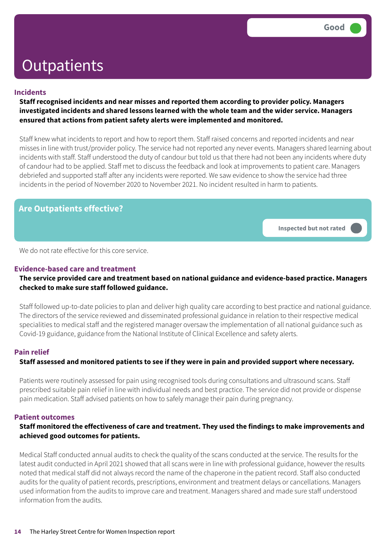#### **Incidents**

**Staff recognised incidents and near misses and reported them according to provider policy. Managers investigated incidents and shared lessons learned with the whole team and the wider service. Managers ensured that actions from patient safety alerts were implemented and monitored.**

Staff knew what incidents to report and how to report them. Staff raised concerns and reported incidents and near misses in line with trust/provider policy. The service had not reported any never events. Managers shared learning about incidents with staff. Staff understood the duty of candour but told us that there had not been any incidents where duty of candour had to be applied. Staff met to discuss the feedback and look at improvements to patient care. Managers debriefed and supported staff after any incidents were reported. We saw evidence to show the service had three incidents in the period of November 2020 to November 2021. No incident resulted in harm to patients.

### **Are Outpatients effective?**

**Inspected but not rated –––**

We do not rate effective for this core service.

#### **Evidence-based care and treatment**

#### **The service provided care and treatment based on national guidance and evidence-based practice. Managers checked to make sure staff followed guidance.**

Staff followed up-to-date policies to plan and deliver high quality care according to best practice and national guidance. The directors of the service reviewed and disseminated professional guidance in relation to their respective medical specialities to medical staff and the registered manager oversaw the implementation of all national guidance such as Covid-19 guidance, guidance from the National Institute of Clinical Excellence and safety alerts.

#### **Pain relief**

#### **Staff assessed and monitored patients to see if they were in pain and provided support where necessary.**

Patients were routinely assessed for pain using recognised tools during consultations and ultrasound scans. Staff prescribed suitable pain relief in line with individual needs and best practice. The service did not provide or dispense pain medication. Staff advised patients on how to safely manage their pain during pregnancy.

#### **Patient outcomes**

#### **Staff monitored the effectiveness of care and treatment. They used the findings to make improvements and achieved good outcomes for patients.**

Medical Staff conducted annual audits to check the quality of the scans conducted at the service. The results for the latest audit conducted in April 2021 showed that all scans were in line with professional guidance, however the results noted that medical staff did not always record the name of the chaperone in the patient record. Staff also conducted audits for the quality of patient records, prescriptions, environment and treatment delays or cancellations. Managers used information from the audits to improve care and treatment. Managers shared and made sure staff understood information from the audits.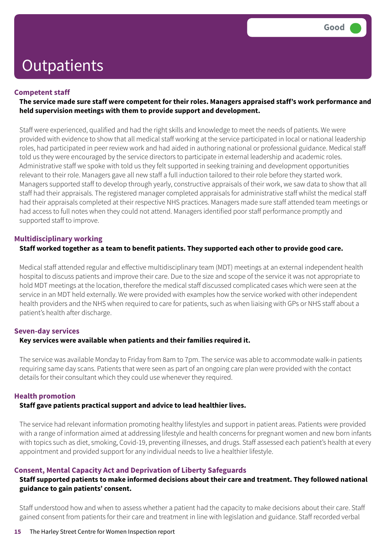#### **Competent staff**

#### **The service made sure staff were competent for their roles. Managers appraised staff's work performance and held supervision meetings with them to provide support and development.**

Staff were experienced, qualified and had the right skills and knowledge to meet the needs of patients. We were provided with evidence to show that all medical staff working at the service participated in local or national leadership roles, had participated in peer review work and had aided in authoring national or professional guidance. Medical staff told us they were encouraged by the service directors to participate in external leadership and academic roles. Administrative staff we spoke with told us they felt supported in seeking training and development opportunities relevant to their role. Managers gave all new staff a full induction tailored to their role before they started work. Managers supported staff to develop through yearly, constructive appraisals of their work, we saw data to show that all staff had their appraisals. The registered manager completed appraisals for administrative staff whilst the medical staff had their appraisals completed at their respective NHS practices. Managers made sure staff attended team meetings or had access to full notes when they could not attend. Managers identified poor staff performance promptly and supported staff to improve.

#### **Multidisciplinary working**

#### **Staff worked together as a team to benefit patients. They supported each other to provide good care.**

Medical staff attended regular and effective multidisciplinary team (MDT) meetings at an external independent health hospital to discuss patients and improve their care. Due to the size and scope of the service it was not appropriate to hold MDT meetings at the location, therefore the medical staff discussed complicated cases which were seen at the service in an MDT held externally. We were provided with examples how the service worked with other independent health providers and the NHS when required to care for patients, such as when liaising with GPs or NHS staff about a patient's health after discharge.

#### **Seven-day services**

#### **Key services were available when patients and their families required it.**

The service was available Monday to Friday from 8am to 7pm. The service was able to accommodate walk-in patients requiring same day scans. Patients that were seen as part of an ongoing care plan were provided with the contact details for their consultant which they could use whenever they required.

#### **Health promotion**

#### **Staff gave patients practical support and advice to lead healthier lives.**

The service had relevant information promoting healthy lifestyles and support in patient areas. Patients were provided with a range of information aimed at addressing lifestyle and health concerns for pregnant women and new born infants with topics such as diet, smoking, Covid-19, preventing illnesses, and drugs. Staff assessed each patient's health at every appointment and provided support for any individual needs to live a healthier lifestyle.

#### **Consent, Mental Capacity Act and Deprivation of Liberty Safeguards**

#### **Staff supported patients to make informed decisions about their care and treatment. They followed national guidance to gain patients' consent.**

Staff understood how and when to assess whether a patient had the capacity to make decisions about their care. Staff gained consent from patients for their care and treatment in line with legislation and guidance. Staff recorded verbal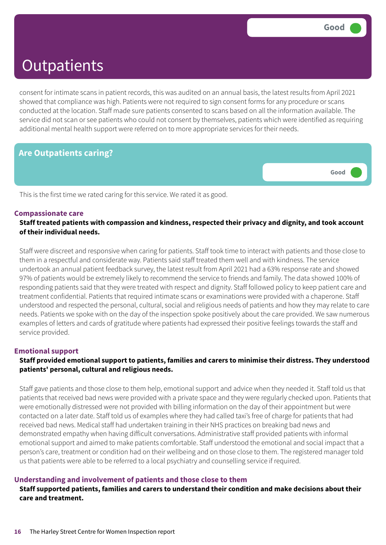**Good –––**

### **Outpatients**

consent for intimate scans in patient records, this was audited on an annual basis, the latest results from April 2021 showed that compliance was high. Patients were not required to sign consent forms for any procedure or scans conducted at the location. Staff made sure patients consented to scans based on all the information available. The service did not scan or see patients who could not consent by themselves, patients which were identified as requiring additional mental health support were referred on to more appropriate services for their needs.

### **Are Outpatients caring?**

This is the first time we rated caring for this service. We rated it as good.

#### **Compassionate care**

**Staff treated patients with compassion and kindness, respected their privacy and dignity, and took account of their individual needs.**

Staff were discreet and responsive when caring for patients. Staff took time to interact with patients and those close to them in a respectful and considerate way. Patients said staff treated them well and with kindness. The service undertook an annual patient feedback survey, the latest result from April 2021 had a 63% response rate and showed 97% of patients would be extremely likely to recommend the service to friends and family. The data showed 100% of responding patients said that they were treated with respect and dignity. Staff followed policy to keep patient care and treatment confidential. Patients that required intimate scans or examinations were provided with a chaperone. Staff understood and respected the personal, cultural, social and religious needs of patients and how they may relate to care needs. Patients we spoke with on the day of the inspection spoke positively about the care provided. We saw numerous examples of letters and cards of gratitude where patients had expressed their positive feelings towards the staff and service provided.

#### **Emotional support**

#### **Staff provided emotional support to patients, families and carers to minimise their distress. They understood patients' personal, cultural and religious needs.**

Staff gave patients and those close to them help, emotional support and advice when they needed it. Staff told us that patients that received bad news were provided with a private space and they were regularly checked upon. Patients that were emotionally distressed were not provided with billing information on the day of their appointment but were contacted on a later date. Staff told us of examples where they had called taxi's free of charge for patients that had received bad news. Medical staff had undertaken training in their NHS practices on breaking bad news and demonstrated empathy when having difficult conversations. Administrative staff provided patients with informal emotional support and aimed to make patients comfortable. Staff understood the emotional and social impact that a person's care, treatment or condition had on their wellbeing and on those close to them. The registered manager told us that patients were able to be referred to a local psychiatry and counselling service if required.

#### **Understanding and involvement of patients and those close to them**

#### **Staff supported patients, families and carers to understand their condition and make decisions about their care and treatment.**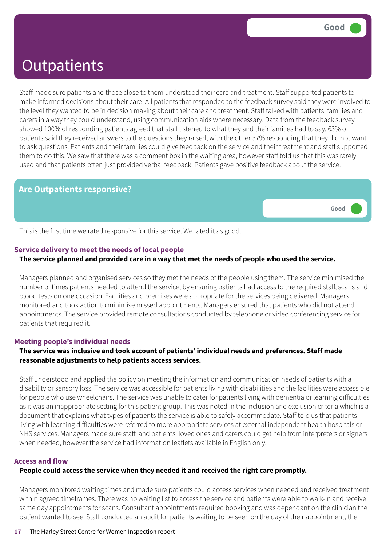Staff made sure patients and those close to them understood their care and treatment. Staff supported patients to make informed decisions about their care. All patients that responded to the feedback survey said they were involved to the level they wanted to be in decision making about their care and treatment. Staff talked with patients, families and carers in a way they could understand, using communication aids where necessary. Data from the feedback survey showed 100% of responding patients agreed that staff listened to what they and their families had to say. 63% of patients said they received answers to the questions they raised, with the other 37% responding that they did not want to ask questions. Patients and their families could give feedback on the service and their treatment and staff supported them to do this. We saw that there was a comment box in the waiting area, however staff told us that this was rarely used and that patients often just provided verbal feedback. Patients gave positive feedback about the service.

#### **Are Outpatients responsive?**

**Good –––**

This is the first time we rated responsive for this service. We rated it as good.

#### **Service delivery to meet the needs of local people**

#### The service planned and provided care in a way that met the needs of people who used the service.

Managers planned and organised services so they met the needs of the people using them. The service minimised the number of times patients needed to attend the service, by ensuring patients had access to the required staff, scans and blood tests on one occasion. Facilities and premises were appropriate for the services being delivered. Managers monitored and took action to minimise missed appointments. Managers ensured that patients who did not attend appointments. The service provided remote consultations conducted by telephone or video conferencing service for patients that required it.

#### **Meeting people's individual needs**

#### **The service was inclusive and took account of patients' individual needs and preferences. Staff made reasonable adjustments to help patients access services.**

Staff understood and applied the policy on meeting the information and communication needs of patients with a disability or sensory loss. The service was accessible for patients living with disabilities and the facilities were accessible for people who use wheelchairs. The service was unable to cater for patients living with dementia or learning difficulties as it was an inappropriate setting for this patient group. This was noted in the inclusion and exclusion criteria which is a document that explains what types of patients the service is able to safely accommodate. Staff told us that patients living with learning difficulties were referred to more appropriate services at external independent health hospitals or NHS services. Managers made sure staff, and patients, loved ones and carers could get help from interpreters or signers when needed, however the service had information leaflets available in English only.

#### **Access and flow**

#### **People could access the service when they needed it and received the right care promptly.**

Managers monitored waiting times and made sure patients could access services when needed and received treatment within agreed timeframes. There was no waiting list to access the service and patients were able to walk-in and receive same day appointments for scans. Consultant appointments required booking and was dependant on the clinician the patient wanted to see. Staff conducted an audit for patients waiting to be seen on the day of their appointment, the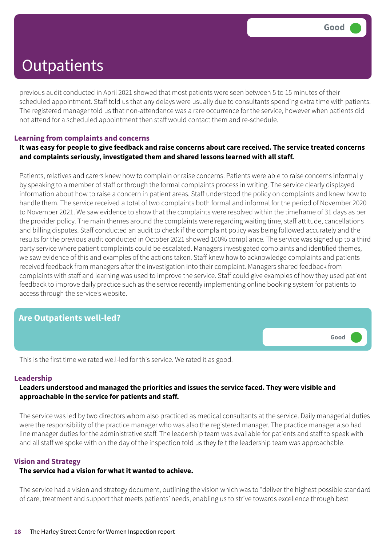previous audit conducted in April 2021 showed that most patients were seen between 5 to 15 minutes of their scheduled appointment. Staff told us that any delays were usually due to consultants spending extra time with patients. The registered manager told us that non-attendance was a rare occurrence for the service, however when patients did not attend for a scheduled appointment then staff would contact them and re-schedule.

#### **Learning from complaints and concerns**

#### It was easy for people to give feedback and raise concerns about care received. The service treated concerns **and complaints seriously, investigated them and shared lessons learned with all staff.**

Patients, relatives and carers knew how to complain or raise concerns. Patients were able to raise concerns informally by speaking to a member of staff or through the formal complaints process in writing. The service clearly displayed information about how to raise a concern in patient areas. Staff understood the policy on complaints and knew how to handle them. The service received a total of two complaints both formal and informal for the period of November 2020 to November 2021. We saw evidence to show that the complaints were resolved within the timeframe of 31 days as per the provider policy. The main themes around the complaints were regarding waiting time, staff attitude, cancellations and billing disputes. Staff conducted an audit to check if the complaint policy was being followed accurately and the results for the previous audit conducted in October 2021 showed 100% compliance. The service was signed up to a third party service where patient complaints could be escalated. Managers investigated complaints and identified themes, we saw evidence of this and examples of the actions taken. Staff knew how to acknowledge complaints and patients received feedback from managers after the investigation into their complaint. Managers shared feedback from complaints with staff and learning was used to improve the service. Staff could give examples of how they used patient feedback to improve daily practice such as the service recently implementing online booking system for patients to access through the service's website.

### **Are Outpatients well-led?**



This is the first time we rated well-led for this service. We rated it as good.

#### **Leadership**

#### **Leaders understood and managed the priorities and issues the service faced. They were visible and approachable in the service for patients and staff.**

The service was led by two directors whom also practiced as medical consultants at the service. Daily managerial duties were the responsibility of the practice manager who was also the registered manager. The practice manager also had line manager duties for the administrative staff. The leadership team was available for patients and staff to speak with and all staff we spoke with on the day of the inspection told us they felt the leadership team was approachable.

#### **Vision and Strategy**

#### **The service had a vision for what it wanted to achieve.**

The service had a vision and strategy document, outlining the vision which was to "deliver the highest possible standard of care, treatment and support that meets patients' needs, enabling us to strive towards excellence through best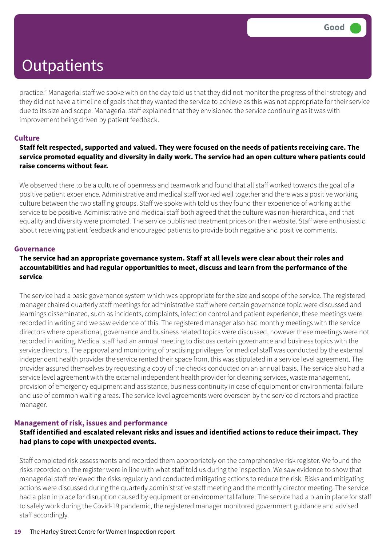practice." Managerial staff we spoke with on the day told us that they did not monitor the progress of their strategy and they did not have a timeline of goals that they wanted the service to achieve as this was not appropriate for their service due to its size and scope. Managerial staff explained that they envisioned the service continuing as it was with improvement being driven by patient feedback.

#### **Culture**

#### Staff felt respected, supported and valued. They were focused on the needs of patients receiving care. The service promoted equality and diversity in daily work. The service had an open culture where patients could **raise concerns without fear.**

We observed there to be a culture of openness and teamwork and found that all staff worked towards the goal of a positive patient experience. Administrative and medical staff worked well together and there was a positive working culture between the two staffing groups. Staff we spoke with told us they found their experience of working at the service to be positive. Administrative and medical staff both agreed that the culture was non-hierarchical, and that equality and diversity were promoted. The service published treatment prices on their website. Staff were enthusiastic about receiving patient feedback and encouraged patients to provide both negative and positive comments.

#### **Governance**

#### **The service had an appropriate governance system. Staff at all levels were clear about their roles and accountabilities and had regular opportunities to meet, discuss and learn from the performance of the service**.

The service had a basic governance system which was appropriate for the size and scope of the service. The registered manager chaired quarterly staff meetings for administrative staff where certain governance topic were discussed and learnings disseminated, such as incidents, complaints, infection control and patient experience, these meetings were recorded in writing and we saw evidence of this. The registered manager also had monthly meetings with the service directors where operational, governance and business related topics were discussed, however these meetings were not recorded in writing. Medical staff had an annual meeting to discuss certain governance and business topics with the service directors. The approval and monitoring of practising privileges for medical staff was conducted by the external independent health provider the service rented their space from, this was stipulated in a service level agreement. The provider assured themselves by requesting a copy of the checks conducted on an annual basis. The service also had a service level agreement with the external independent health provider for cleaning services, waste management, provision of emergency equipment and assistance, business continuity in case of equipment or environmental failure and use of common waiting areas. The service level agreements were overseen by the service directors and practice manager.

#### **Management of risk, issues and performance**

#### **Staff identified and escalated relevant risks and issues and identified actions to reduce their impact. They had plans to cope with unexpected events.**

Staff completed risk assessments and recorded them appropriately on the comprehensive risk register. We found the risks recorded on the register were in line with what staff told us during the inspection. We saw evidence to show that managerial staff reviewed the risks regularly and conducted mitigating actions to reduce the risk. Risks and mitigating actions were discussed during the quarterly administrative staff meeting and the monthly director meeting. The service had a plan in place for disruption caused by equipment or environmental failure. The service had a plan in place for staff to safely work during the Covid-19 pandemic, the registered manager monitored government guidance and advised staff accordingly.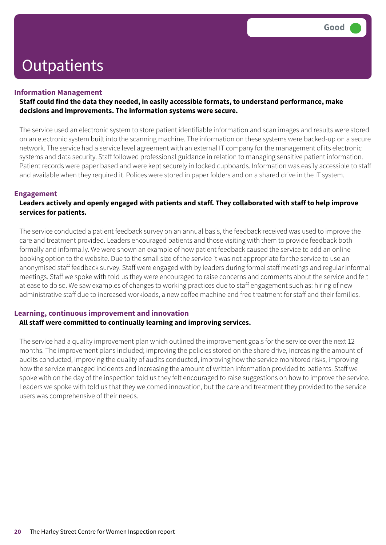#### **Information Management**

#### **Staff could find the data they needed, in easily accessible formats, to understand performance, make decisions and improvements. The information systems were secure.**

The service used an electronic system to store patient identifiable information and scan images and results were stored on an electronic system built into the scanning machine. The information on these systems were backed-up on a secure network. The service had a service level agreement with an external IT company for the management of its electronic systems and data security. Staff followed professional guidance in relation to managing sensitive patient information. Patient records were paper based and were kept securely in locked cupboards. Information was easily accessible to staff and available when they required it. Polices were stored in paper folders and on a shared drive in the IT system.

#### **Engagement**

#### **Leaders actively and openly engaged with patients and staff. They collaborated with staff to help improve services for patients.**

The service conducted a patient feedback survey on an annual basis, the feedback received was used to improve the care and treatment provided. Leaders encouraged patients and those visiting with them to provide feedback both formally and informally. We were shown an example of how patient feedback caused the service to add an online booking option to the website. Due to the small size of the service it was not appropriate for the service to use an anonymised staff feedback survey. Staff were engaged with by leaders during formal staff meetings and regular informal meetings. Staff we spoke with told us they were encouraged to raise concerns and comments about the service and felt at ease to do so. We saw examples of changes to working practices due to staff engagement such as: hiring of new administrative staff due to increased workloads, a new coffee machine and free treatment for staff and their families.

#### **Learning, continuous improvement and innovation**

#### **All staff were committed to continually learning and improving services.**

The service had a quality improvement plan which outlined the improvement goals for the service over the next 12 months. The improvement plans included; improving the policies stored on the share drive, increasing the amount of audits conducted, improving the quality of audits conducted, improving how the service monitored risks, improving how the service managed incidents and increasing the amount of written information provided to patients. Staff we spoke with on the day of the inspection told us they felt encouraged to raise suggestions on how to improve the service. Leaders we spoke with told us that they welcomed innovation, but the care and treatment they provided to the service users was comprehensive of their needs.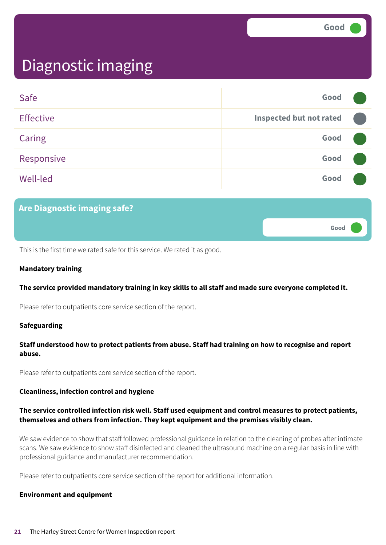**Good –––**

# Diagnostic imaging

| Safe             | Good                           |  |
|------------------|--------------------------------|--|
| <b>Effective</b> | <b>Inspected but not rated</b> |  |
| Caring           | Good                           |  |
| Responsive       | Good                           |  |
| <b>Well-led</b>  | Good                           |  |

### **Are Diagnostic imaging safe?**

This is the first time we rated safe for this service. We rated it as good.

#### **Mandatory training**

#### **The service provided mandatory training in key skills to all staff and made sure everyone completed it.**

Please refer to outpatients core service section of the report.

#### **Safeguarding**

#### **Staff understood how to protect patients from abuse. Staff had training on how to recognise and report abuse.**

Please refer to outpatients core service section of the report.

#### **Cleanliness, infection control and hygiene**

#### **The service controlled infection risk well. Staff used equipment and control measures to protect patients, themselves and others from infection. They kept equipment and the premises visibly clean.**

We saw evidence to show that staff followed professional guidance in relation to the cleaning of probes after intimate scans. We saw evidence to show staff disinfected and cleaned the ultrasound machine on a regular basis in line with professional guidance and manufacturer recommendation.

Please refer to outpatients core service section of the report for additional information.

#### **Environment and equipment**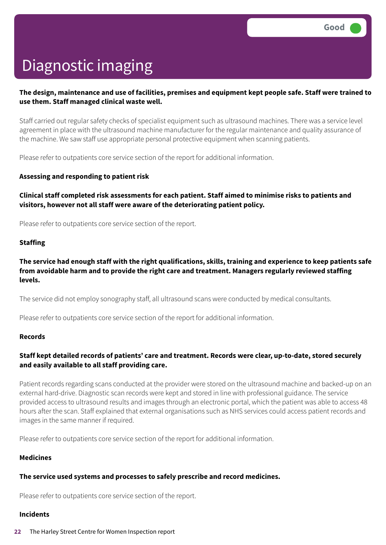# Diagnostic imaging

#### The design, maintenance and use of facilities, premises and equipment kept people safe. Staff were trained to **use them. Staff managed clinical waste well.**

Staff carried out regular safety checks of specialist equipment such as ultrasound machines. There was a service level agreement in place with the ultrasound machine manufacturer for the regular maintenance and quality assurance of the machine. We saw staff use appropriate personal protective equipment when scanning patients.

Please refer to outpatients core service section of the report for additional information.

#### **Assessing and responding to patient risk**

#### **Clinical staff completed risk assessments for each patient. Staff aimed to minimise risks to patients and visitors, however not all staff were aware of the deteriorating patient policy.**

Please refer to outpatients core service section of the report.

#### **Staffing**

#### The service had enough staff with the right qualifications, skills, training and experience to keep patients safe **from avoidable harm and to provide the right care and treatment. Managers regularly reviewed staffing levels.**

The service did not employ sonography staff, all ultrasound scans were conducted by medical consultants.

Please refer to outpatients core service section of the report for additional information.

#### **Records**

#### **Staff kept detailed records of patients' care and treatment. Records were clear, up-to-date, stored securely and easily available to all staff providing care.**

Patient records regarding scans conducted at the provider were stored on the ultrasound machine and backed-up on an external hard-drive. Diagnostic scan records were kept and stored in line with professional guidance. The service provided access to ultrasound results and images through an electronic portal, which the patient was able to access 48 hours after the scan. Staff explained that external organisations such as NHS services could access patient records and images in the same manner if required.

Please refer to outpatients core service section of the report for additional information.

#### **Medicines**

### **The service used systems and processes to safely prescribe and record medicines.**

Please refer to outpatients core service section of the report.

#### **Incidents**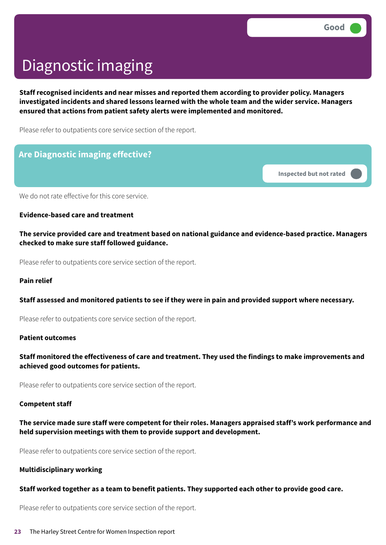# Diagnostic imaging

**Staff recognised incidents and near misses and reported them according to provider policy. Managers investigated incidents and shared lessons learned with the whole team and the wider service. Managers ensured that actions from patient safety alerts were implemented and monitored.**

Please refer to outpatients core service section of the report.

### **Are Diagnostic imaging effective?**

**Inspected but not rated –––**

We do not rate effective for this core service.

**Evidence-based care and treatment**

**The service provided care and treatment based on national guidance and evidence-based practice. Managers checked to make sure staff followed guidance.**

Please refer to outpatients core service section of the report.

#### **Pain relief**

#### **Staff assessed and monitored patients to see if they were in pain and provided support where necessary.**

Please refer to outpatients core service section of the report.

#### **Patient outcomes**

#### **Staff monitored the effectiveness of care and treatment. They used the findings to make improvements and achieved good outcomes for patients.**

Please refer to outpatients core service section of the report.

#### **Competent staff**

#### **The service made sure staff were competent for their roles. Managers appraised staff's work performance and held supervision meetings with them to provide support and development.**

Please refer to outpatients core service section of the report.

#### **Multidisciplinary working**

#### **Staff worked together as a team to benefit patients. They supported each other to provide good care.**

Please refer to outpatients core service section of the report.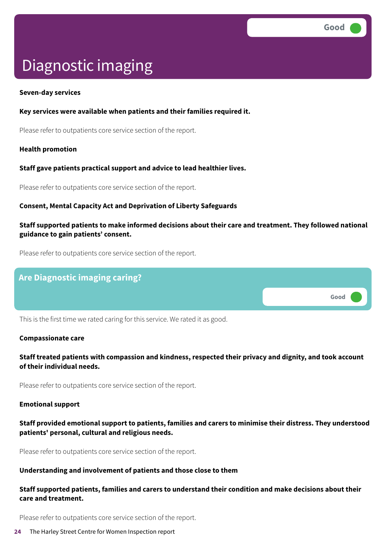**Good –––**

# Diagnostic imaging

#### **Seven-day services**

#### **Key services were available when patients and their families required it.**

Please refer to outpatients core service section of the report.

#### **Health promotion**

#### **Staff gave patients practical support and advice to lead healthier lives.**

Please refer to outpatients core service section of the report.

#### **Consent, Mental Capacity Act and Deprivation of Liberty Safeguards**

#### **Staff supported patients to make informed decisions about their care and treatment. They followed national guidance to gain patients' consent.**

Please refer to outpatients core service section of the report.

### **Are Diagnostic imaging caring?**

This is the first time we rated caring for this service. We rated it as good.

#### **Compassionate care**

#### **Staff treated patients with compassion and kindness, respected their privacy and dignity, and took account of their individual needs.**

Please refer to outpatients core service section of the report.

#### **Emotional support**

#### **Staff provided emotional support to patients, families and carers to minimise their distress. They understood patients' personal, cultural and religious needs.**

Please refer to outpatients core service section of the report.

#### **Understanding and involvement of patients and those close to them**

#### **Staff supported patients, families and carers to understand their condition and make decisions about their care and treatment.**

Please refer to outpatients core service section of the report.

#### **24** The Harley Street Centre for Women Inspection report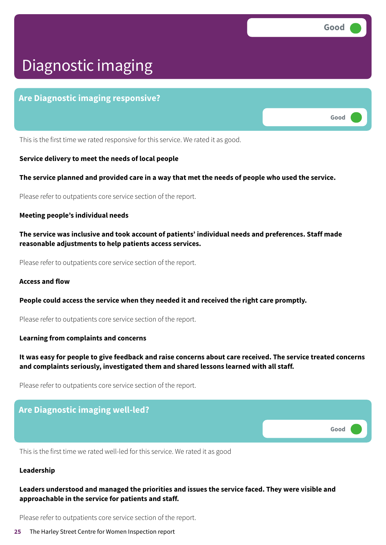**Good –––**

# Diagnostic imaging

### **Are Diagnostic imaging responsive?**

This is the first time we rated responsive for this service. We rated it as good.

#### **Service delivery to meet the needs of local people**

#### The service planned and provided care in a way that met the needs of people who used the service.

Please refer to outpatients core service section of the report.

#### **Meeting people's individual needs**

**The service was inclusive and took account of patients' individual needs and preferences. Staff made reasonable adjustments to help patients access services.**

Please refer to outpatients core service section of the report.

#### **Access and flow**

**People could access the service when they needed it and received the right care promptly.**

Please refer to outpatients core service section of the report.

#### **Learning from complaints and concerns**

#### It was easy for people to give feedback and raise concerns about care received. The service treated concerns **and complaints seriously, investigated them and shared lessons learned with all staff.**

Please refer to outpatients core service section of the report.

# **Are Diagnostic imaging well-led? Good –––**

This is the first time we rated well-led for this service. We rated it as good

#### **Leadership**

#### **Leaders understood and managed the priorities and issues the service faced. They were visible and approachable in the service for patients and staff.**

Please refer to outpatients core service section of the report.

#### **25** The Harley Street Centre for Women Inspection report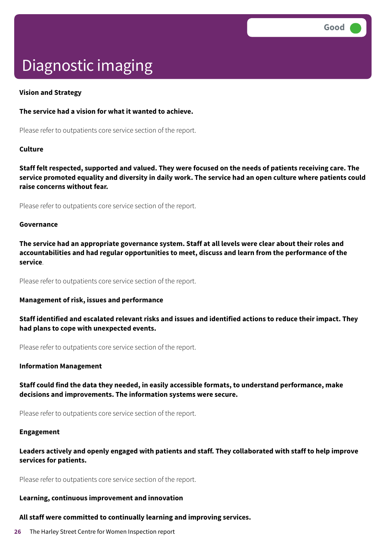# Diagnostic imaging

#### **Vision and Strategy**

#### **The service had a vision for what it wanted to achieve.**

Please refer to outpatients core service section of the report.

#### **Culture**

Staff felt respected, supported and valued. They were focused on the needs of patients receiving care. The service promoted equality and diversity in daily work. The service had an open culture where patients could **raise concerns without fear.**

Please refer to outpatients core service section of the report.

#### **Governance**

**The service had an appropriate governance system. Staff at all levels were clear about their roles and accountabilities and had regular opportunities to meet, discuss and learn from the performance of the service**.

Please refer to outpatients core service section of the report.

#### **Management of risk, issues and performance**

**Staff identified and escalated relevant risks and issues and identified actions to reduce their impact. They had plans to cope with unexpected events.**

Please refer to outpatients core service section of the report.

#### **Information Management**

#### **Staff could find the data they needed, in easily accessible formats, to understand performance, make decisions and improvements. The information systems were secure.**

Please refer to outpatients core service section of the report.

#### **Engagement**

#### **Leaders actively and openly engaged with patients and staff. They collaborated with staff to help improve services for patients.**

Please refer to outpatients core service section of the report.

#### **Learning, continuous improvement and innovation**

#### **All staff were committed to continually learning and improving services.**

**26** The Harley Street Centre for Women Inspection report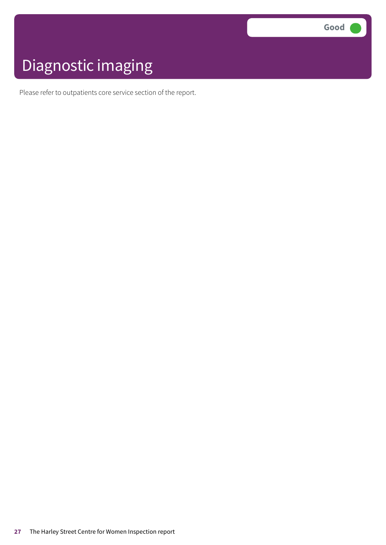# Diagnostic imaging

Please refer to outpatients core service section of the report.